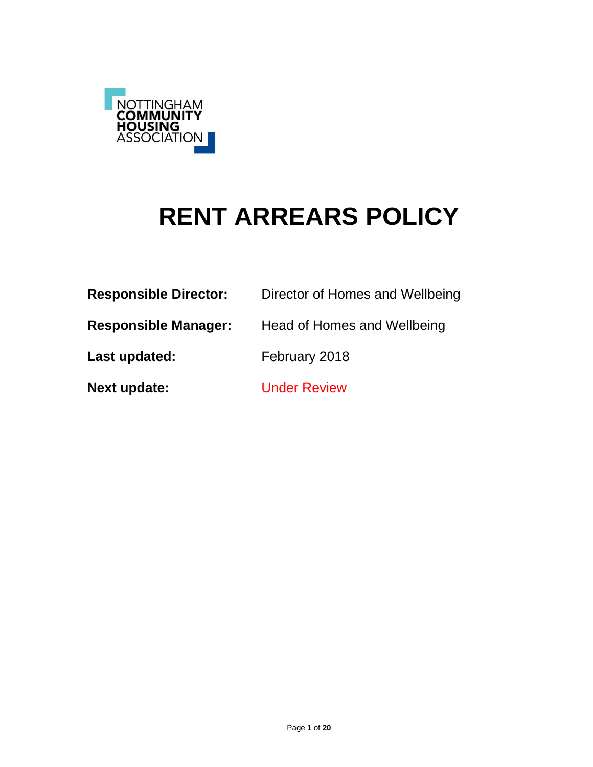

# **RENT ARREARS POLICY**

| <b>Responsible Director:</b> | Director of Homes and Wellbeing |
|------------------------------|---------------------------------|
| <b>Responsible Manager:</b>  | Head of Homes and Wellbeing     |
| Last updated:                | February 2018                   |
| <b>Next update:</b>          | <b>Under Review</b>             |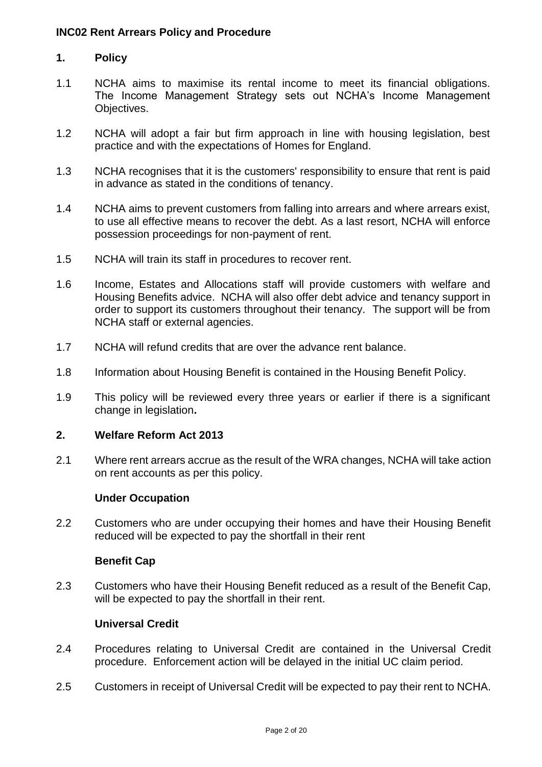# **1. Policy**

- 1.1 NCHA aims to maximise its rental income to meet its financial obligations. The Income Management Strategy sets out NCHA's Income Management Objectives.
- 1.2 NCHA will adopt a fair but firm approach in line with housing legislation, best practice and with the expectations of Homes for England.
- 1.3 NCHA recognises that it is the customers' responsibility to ensure that rent is paid in advance as stated in the conditions of tenancy.
- 1.4 NCHA aims to prevent customers from falling into arrears and where arrears exist, to use all effective means to recover the debt. As a last resort, NCHA will enforce possession proceedings for non-payment of rent.
- 1.5 NCHA will train its staff in procedures to recover rent.
- 1.6 Income, Estates and Allocations staff will provide customers with welfare and Housing Benefits advice. NCHA will also offer debt advice and tenancy support in order to support its customers throughout their tenancy. The support will be from NCHA staff or external agencies.
- 1.7 NCHA will refund credits that are over the advance rent balance.
- 1.8 Information about Housing Benefit is contained in the Housing Benefit Policy.
- 1.9 This policy will be reviewed every three years or earlier if there is a significant change in legislation**.**

# **2. Welfare Reform Act 2013**

2.1 Where rent arrears accrue as the result of the WRA changes, NCHA will take action on rent accounts as per this policy.

#### **Under Occupation**

2.2 Customers who are under occupying their homes and have their Housing Benefit reduced will be expected to pay the shortfall in their rent

#### **Benefit Cap**

2.3 Customers who have their Housing Benefit reduced as a result of the Benefit Cap, will be expected to pay the shortfall in their rent.

# **Universal Credit**

- 2.4 Procedures relating to Universal Credit are contained in the Universal Credit procedure. Enforcement action will be delayed in the initial UC claim period.
- 2.5 Customers in receipt of Universal Credit will be expected to pay their rent to NCHA.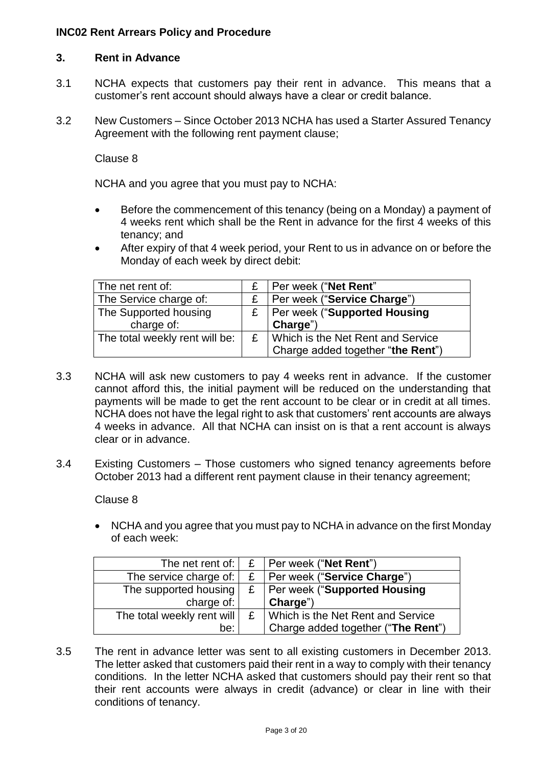# **3. Rent in Advance**

- 3.1 NCHA expects that customers pay their rent in advance. This means that a customer's rent account should always have a clear or credit balance.
- 3.2 New Customers Since October 2013 NCHA has used a Starter Assured Tenancy Agreement with the following rent payment clause;

Clause 8

NCHA and you agree that you must pay to NCHA:

- Before the commencement of this tenancy (being on a Monday) a payment of 4 weeks rent which shall be the Rent in advance for the first 4 weeks of this tenancy; and
- After expiry of that 4 week period, your Rent to us in advance on or before the Monday of each week by direct debit:

| The net rent of:               |   | Per week ("Net Rent"                |
|--------------------------------|---|-------------------------------------|
| The Service charge of:         |   | Per week ("Service Charge")         |
| The Supported housing          | £ | <b>Per week ("Supported Housing</b> |
| charge of:                     |   | Charge")                            |
| The total weekly rent will be: | £ | Which is the Net Rent and Service   |
|                                |   | Charge added together "the Rent")   |

- 3.3 NCHA will ask new customers to pay 4 weeks rent in advance. If the customer cannot afford this, the initial payment will be reduced on the understanding that payments will be made to get the rent account to be clear or in credit at all times. NCHA does not have the legal right to ask that customers' rent accounts are always 4 weeks in advance. All that NCHA can insist on is that a rent account is always clear or in advance.
- 3.4 Existing Customers Those customers who signed tenancy agreements before October 2013 had a different rent payment clause in their tenancy agreement;

Clause 8

• NCHA and you agree that you must pay to NCHA in advance on the first Monday of each week:

| The net rent of:                       | £   Per week ("Net Rent")          |
|----------------------------------------|------------------------------------|
| The service charge of:                 | £   Per week ("Service Charge")    |
| The supported housing                  | £   Per week ("Supported Housing   |
| charge of: $\vert$                     | Charge")                           |
| The total weekly rent will $\mathsf E$ | Which is the Net Rent and Service  |
| be:                                    | Charge added together ("The Rent") |

3.5 The rent in advance letter was sent to all existing customers in December 2013. The letter asked that customers paid their rent in a way to comply with their tenancy conditions. In the letter NCHA asked that customers should pay their rent so that their rent accounts were always in credit (advance) or clear in line with their conditions of tenancy.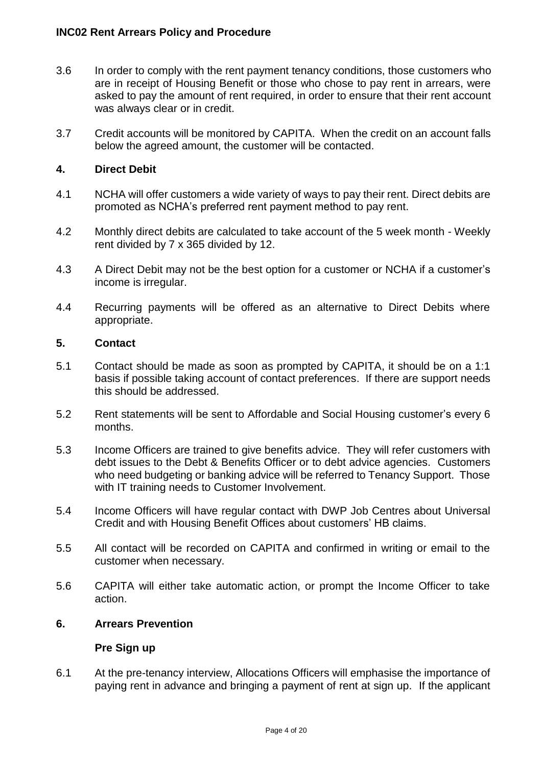- 3.6 In order to comply with the rent payment tenancy conditions, those customers who are in receipt of Housing Benefit or those who chose to pay rent in arrears, were asked to pay the amount of rent required, in order to ensure that their rent account was always clear or in credit.
- 3.7 Credit accounts will be monitored by CAPITA. When the credit on an account falls below the agreed amount, the customer will be contacted.

# **4. Direct Debit**

- 4.1 NCHA will offer customers a wide variety of ways to pay their rent. Direct debits are promoted as NCHA's preferred rent payment method to pay rent.
- 4.2 Monthly direct debits are calculated to take account of the 5 week month Weekly rent divided by 7 x 365 divided by 12.
- 4.3 A Direct Debit may not be the best option for a customer or NCHA if a customer's income is irregular.
- 4.4 Recurring payments will be offered as an alternative to Direct Debits where appropriate.

#### **5. Contact**

- 5.1 Contact should be made as soon as prompted by CAPITA, it should be on a 1:1 basis if possible taking account of contact preferences. If there are support needs this should be addressed.
- 5.2 Rent statements will be sent to Affordable and Social Housing customer's every 6 months.
- 5.3 Income Officers are trained to give benefits advice. They will refer customers with debt issues to the Debt & Benefits Officer or to debt advice agencies. Customers who need budgeting or banking advice will be referred to Tenancy Support. Those with IT training needs to Customer Involvement.
- 5.4 Income Officers will have regular contact with DWP Job Centres about Universal Credit and with Housing Benefit Offices about customers' HB claims.
- 5.5 All contact will be recorded on CAPITA and confirmed in writing or email to the customer when necessary.
- 5.6 CAPITA will either take automatic action, or prompt the Income Officer to take action.

#### **6. Arrears Prevention**

#### **Pre Sign up**

6.1 At the pre-tenancy interview, Allocations Officers will emphasise the importance of paying rent in advance and bringing a payment of rent at sign up. If the applicant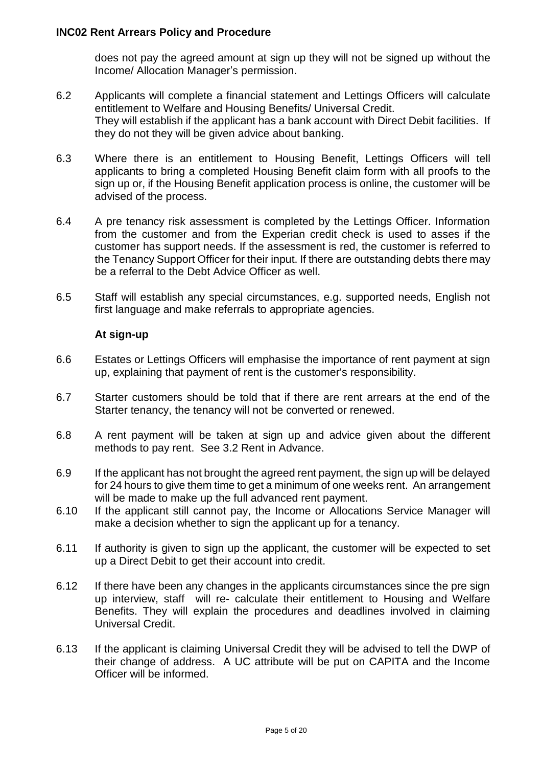does not pay the agreed amount at sign up they will not be signed up without the Income/ Allocation Manager's permission.

- 6.2 Applicants will complete a financial statement and Lettings Officers will calculate entitlement to Welfare and Housing Benefits/ Universal Credit. They will establish if the applicant has a bank account with Direct Debit facilities. If they do not they will be given advice about banking.
- 6.3 Where there is an entitlement to Housing Benefit, Lettings Officers will tell applicants to bring a completed Housing Benefit claim form with all proofs to the sign up or, if the Housing Benefit application process is online, the customer will be advised of the process.
- 6.4 A pre tenancy risk assessment is completed by the Lettings Officer. Information from the customer and from the Experian credit check is used to asses if the customer has support needs. If the assessment is red, the customer is referred to the Tenancy Support Officer for their input. If there are outstanding debts there may be a referral to the Debt Advice Officer as well.
- 6.5 Staff will establish any special circumstances, e.g. supported needs, English not first language and make referrals to appropriate agencies.

# **At sign-up**

- 6.6 Estates or Lettings Officers will emphasise the importance of rent payment at sign up, explaining that payment of rent is the customer's responsibility.
- 6.7 Starter customers should be told that if there are rent arrears at the end of the Starter tenancy, the tenancy will not be converted or renewed.
- 6.8 A rent payment will be taken at sign up and advice given about the different methods to pay rent. See 3.2 Rent in Advance.
- 6.9 If the applicant has not brought the agreed rent payment, the sign up will be delayed for 24 hours to give them time to get a minimum of one weeks rent. An arrangement will be made to make up the full advanced rent payment.
- 6.10 If the applicant still cannot pay, the Income or Allocations Service Manager will make a decision whether to sign the applicant up for a tenancy.
- 6.11 If authority is given to sign up the applicant, the customer will be expected to set up a Direct Debit to get their account into credit.
- 6.12 If there have been any changes in the applicants circumstances since the pre sign up interview, staff will re- calculate their entitlement to Housing and Welfare Benefits. They will explain the procedures and deadlines involved in claiming Universal Credit.
- 6.13 If the applicant is claiming Universal Credit they will be advised to tell the DWP of their change of address. A UC attribute will be put on CAPITA and the Income Officer will be informed.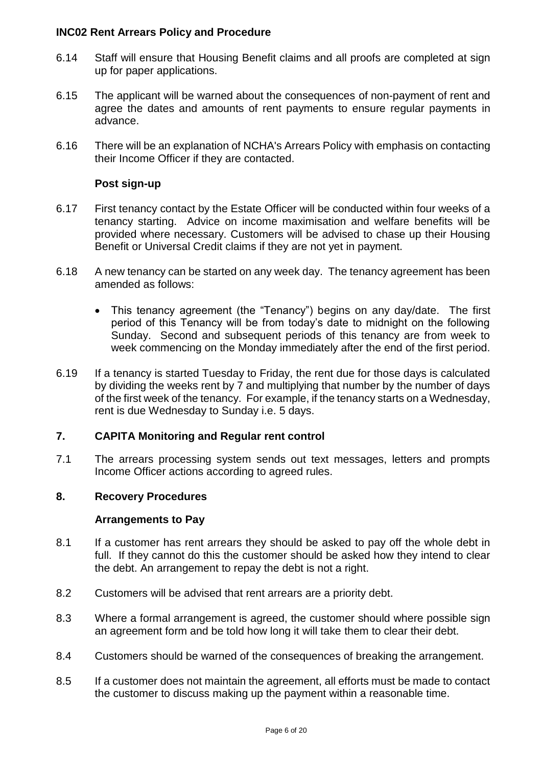- 6.14 Staff will ensure that Housing Benefit claims and all proofs are completed at sign up for paper applications.
- 6.15 The applicant will be warned about the consequences of non-payment of rent and agree the dates and amounts of rent payments to ensure regular payments in advance.
- 6.16 There will be an explanation of NCHA's Arrears Policy with emphasis on contacting their Income Officer if they are contacted.

#### **Post sign-up**

- 6.17 First tenancy contact by the Estate Officer will be conducted within four weeks of a tenancy starting. Advice on income maximisation and welfare benefits will be provided where necessary. Customers will be advised to chase up their Housing Benefit or Universal Credit claims if they are not yet in payment.
- 6.18 A new tenancy can be started on any week day. The tenancy agreement has been amended as follows:
	- This tenancy agreement (the "Tenancy") begins on any day/date. The first period of this Tenancy will be from today's date to midnight on the following Sunday. Second and subsequent periods of this tenancy are from week to week commencing on the Monday immediately after the end of the first period.
- 6.19 If a tenancy is started Tuesday to Friday, the rent due for those days is calculated by dividing the weeks rent by 7 and multiplying that number by the number of days of the first week of the tenancy. For example, if the tenancy starts on a Wednesday, rent is due Wednesday to Sunday i.e. 5 days.

#### **7. CAPITA Monitoring and Regular rent control**

7.1 The arrears processing system sends out text messages, letters and prompts Income Officer actions according to agreed rules.

#### **8. Recovery Procedures**

#### **Arrangements to Pay**

- 8.1 If a customer has rent arrears they should be asked to pay off the whole debt in full. If they cannot do this the customer should be asked how they intend to clear the debt. An arrangement to repay the debt is not a right.
- 8.2 Customers will be advised that rent arrears are a priority debt.
- 8.3 Where a formal arrangement is agreed, the customer should where possible sign an agreement form and be told how long it will take them to clear their debt.
- 8.4 Customers should be warned of the consequences of breaking the arrangement.
- 8.5 If a customer does not maintain the agreement, all efforts must be made to contact the customer to discuss making up the payment within a reasonable time.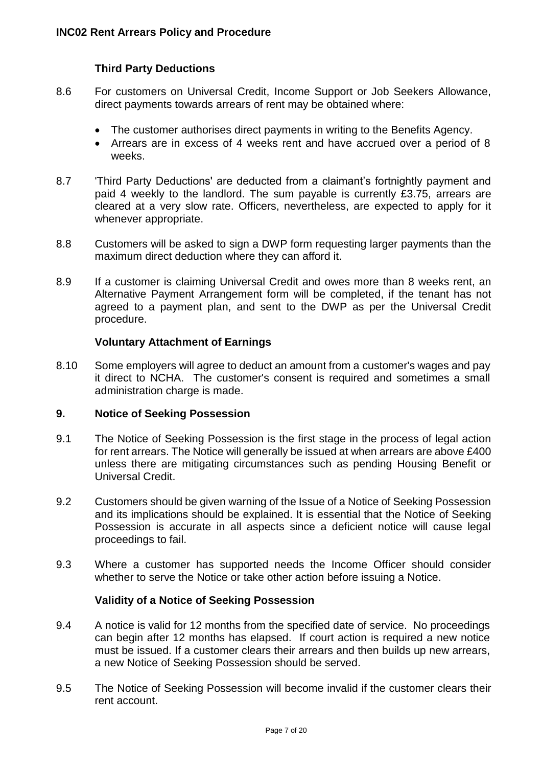# **Third Party Deductions**

- 8.6 For customers on Universal Credit, Income Support or Job Seekers Allowance, direct payments towards arrears of rent may be obtained where:
	- The customer authorises direct payments in writing to the Benefits Agency.
	- Arrears are in excess of 4 weeks rent and have accrued over a period of 8 weeks.
- 8.7 'Third Party Deductions' are deducted from a claimant's fortnightly payment and paid 4 weekly to the landlord. The sum payable is currently £3.75, arrears are cleared at a very slow rate. Officers, nevertheless, are expected to apply for it whenever appropriate.
- 8.8 Customers will be asked to sign a DWP form requesting larger payments than the maximum direct deduction where they can afford it.
- 8.9 If a customer is claiming Universal Credit and owes more than 8 weeks rent, an Alternative Payment Arrangement form will be completed, if the tenant has not agreed to a payment plan, and sent to the DWP as per the Universal Credit procedure.

#### **Voluntary Attachment of Earnings**

8.10 Some employers will agree to deduct an amount from a customer's wages and pay it direct to NCHA. The customer's consent is required and sometimes a small administration charge is made.

# **9. Notice of Seeking Possession**

- 9.1 The Notice of Seeking Possession is the first stage in the process of legal action for rent arrears. The Notice will generally be issued at when arrears are above £400 unless there are mitigating circumstances such as pending Housing Benefit or Universal Credit.
- 9.2 Customers should be given warning of the Issue of a Notice of Seeking Possession and its implications should be explained. It is essential that the Notice of Seeking Possession is accurate in all aspects since a deficient notice will cause legal proceedings to fail.
- 9.3 Where a customer has supported needs the Income Officer should consider whether to serve the Notice or take other action before issuing a Notice.

#### **Validity of a Notice of Seeking Possession**

- 9.4 A notice is valid for 12 months from the specified date of service. No proceedings can begin after 12 months has elapsed. If court action is required a new notice must be issued. If a customer clears their arrears and then builds up new arrears, a new Notice of Seeking Possession should be served.
- 9.5 The Notice of Seeking Possession will become invalid if the customer clears their rent account.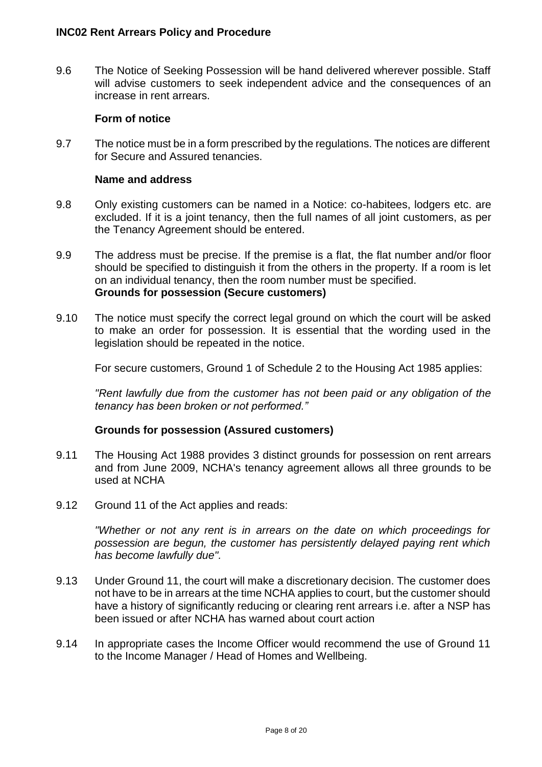9.6 The Notice of Seeking Possession will be hand delivered wherever possible. Staff will advise customers to seek independent advice and the consequences of an increase in rent arrears.

#### **Form of notice**

9.7 The notice must be in a form prescribed by the regulations. The notices are different for Secure and Assured tenancies.

#### **Name and address**

- 9.8 Only existing customers can be named in a Notice: co-habitees, lodgers etc. are excluded. If it is a joint tenancy, then the full names of all joint customers, as per the Tenancy Agreement should be entered.
- 9.9 The address must be precise. If the premise is a flat, the flat number and/or floor should be specified to distinguish it from the others in the property. If a room is let on an individual tenancy, then the room number must be specified. **Grounds for possession (Secure customers)**
- 9.10 The notice must specify the correct legal ground on which the court will be asked to make an order for possession. It is essential that the wording used in the legislation should be repeated in the notice.

For secure customers, Ground 1 of Schedule 2 to the Housing Act 1985 applies:

*"Rent lawfully due from the customer has not been paid or any obligation of the tenancy has been broken or not performed."*

#### **Grounds for possession (Assured customers)**

- 9.11 The Housing Act 1988 provides 3 distinct grounds for possession on rent arrears and from June 2009, NCHA's tenancy agreement allows all three grounds to be used at NCHA
- 9.12 Ground 11 of the Act applies and reads:

*"Whether or not any rent is in arrears on the date on which proceedings for possession are begun, the customer has persistently delayed paying rent which has become lawfully due".*

- 9.13 Under Ground 11, the court will make a discretionary decision. The customer does not have to be in arrears at the time NCHA applies to court, but the customer should have a history of significantly reducing or clearing rent arrears i.e. after a NSP has been issued or after NCHA has warned about court action
- 9.14 In appropriate cases the Income Officer would recommend the use of Ground 11 to the Income Manager / Head of Homes and Wellbeing.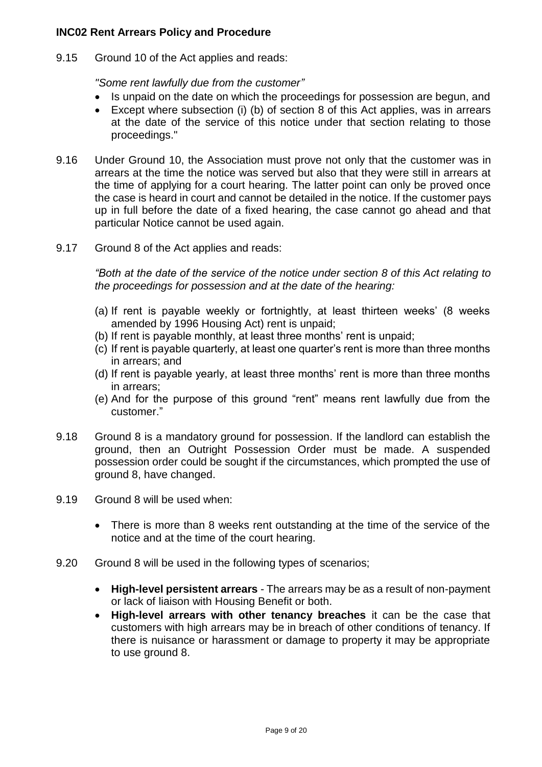9.15 Ground 10 of the Act applies and reads:

*"Some rent lawfully due from the customer"*

- Is unpaid on the date on which the proceedings for possession are begun, and
- Except where subsection (i) (b) of section 8 of this Act applies, was in arrears at the date of the service of this notice under that section relating to those proceedings."
- 9.16 Under Ground 10, the Association must prove not only that the customer was in arrears at the time the notice was served but also that they were still in arrears at the time of applying for a court hearing. The latter point can only be proved once the case is heard in court and cannot be detailed in the notice. If the customer pays up in full before the date of a fixed hearing, the case cannot go ahead and that particular Notice cannot be used again.
- 9.17 Ground 8 of the Act applies and reads:

*"Both at the date of the service of the notice under section 8 of this Act relating to the proceedings for possession and at the date of the hearing:*

- (a) If rent is payable weekly or fortnightly, at least thirteen weeks' (8 weeks amended by 1996 Housing Act) rent is unpaid;
- (b) If rent is payable monthly, at least three months' rent is unpaid;
- (c) If rent is payable quarterly, at least one quarter's rent is more than three months in arrears; and
- (d) If rent is payable yearly, at least three months' rent is more than three months in arrears;
- (e) And for the purpose of this ground "rent" means rent lawfully due from the customer."
- 9.18 Ground 8 is a mandatory ground for possession. If the landlord can establish the ground, then an Outright Possession Order must be made. A suspended possession order could be sought if the circumstances, which prompted the use of ground 8, have changed.
- 9.19 Ground 8 will be used when:
	- There is more than 8 weeks rent outstanding at the time of the service of the notice and at the time of the court hearing.
- 9.20 Ground 8 will be used in the following types of scenarios;
	- **High-level persistent arrears** The arrears may be as a result of non-payment or lack of liaison with Housing Benefit or both.
	- **High-level arrears with other tenancy breaches** it can be the case that customers with high arrears may be in breach of other conditions of tenancy. If there is nuisance or harassment or damage to property it may be appropriate to use ground 8.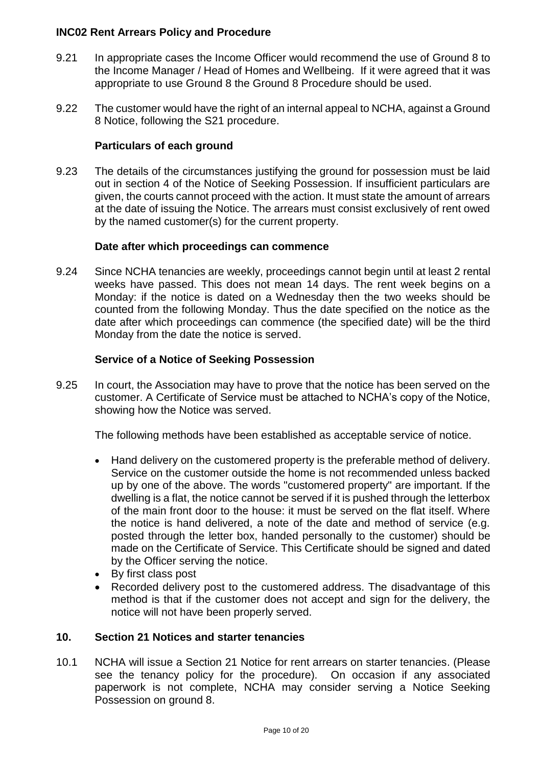- 9.21 In appropriate cases the Income Officer would recommend the use of Ground 8 to the Income Manager / Head of Homes and Wellbeing. If it were agreed that it was appropriate to use Ground 8 the Ground 8 Procedure should be used.
- 9.22 The customer would have the right of an internal appeal to NCHA, against a Ground 8 Notice, following the S21 procedure.

# **Particulars of each ground**

9.23 The details of the circumstances justifying the ground for possession must be laid out in section 4 of the Notice of Seeking Possession. If insufficient particulars are given, the courts cannot proceed with the action. It must state the amount of arrears at the date of issuing the Notice. The arrears must consist exclusively of rent owed by the named customer(s) for the current property.

# **Date after which proceedings can commence**

9.24 Since NCHA tenancies are weekly, proceedings cannot begin until at least 2 rental weeks have passed. This does not mean 14 days. The rent week begins on a Monday: if the notice is dated on a Wednesday then the two weeks should be counted from the following Monday. Thus the date specified on the notice as the date after which proceedings can commence (the specified date) will be the third Monday from the date the notice is served.

# **Service of a Notice of Seeking Possession**

9.25 In court, the Association may have to prove that the notice has been served on the customer. A Certificate of Service must be attached to NCHA's copy of the Notice, showing how the Notice was served.

The following methods have been established as acceptable service of notice.

- Hand delivery on the customered property is the preferable method of delivery. Service on the customer outside the home is not recommended unless backed up by one of the above. The words "customered property" are important. If the dwelling is a flat, the notice cannot be served if it is pushed through the letterbox of the main front door to the house: it must be served on the flat itself. Where the notice is hand delivered, a note of the date and method of service (e.g. posted through the letter box, handed personally to the customer) should be made on the Certificate of Service. This Certificate should be signed and dated by the Officer serving the notice.
- By first class post
- Recorded delivery post to the customered address. The disadvantage of this method is that if the customer does not accept and sign for the delivery, the notice will not have been properly served.

#### **10. Section 21 Notices and starter tenancies**

10.1 NCHA will issue a Section 21 Notice for rent arrears on starter tenancies. (Please see the tenancy policy for the procedure). On occasion if any associated paperwork is not complete, NCHA may consider serving a Notice Seeking Possession on ground 8.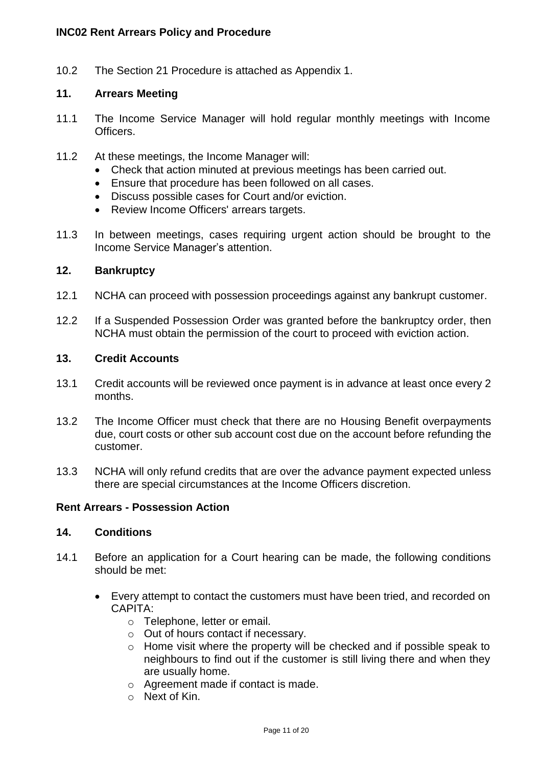10.2 The Section 21 Procedure is attached as Appendix 1.

#### **11. Arrears Meeting**

- 11.1 The Income Service Manager will hold regular monthly meetings with Income Officers.
- 11.2 At these meetings, the Income Manager will:
	- Check that action minuted at previous meetings has been carried out.
	- Ensure that procedure has been followed on all cases.
	- Discuss possible cases for Court and/or eviction.
	- Review Income Officers' arrears targets.
- 11.3 In between meetings, cases requiring urgent action should be brought to the Income Service Manager's attention.

#### **12. Bankruptcy**

- 12.1 NCHA can proceed with possession proceedings against any bankrupt customer.
- 12.2 If a Suspended Possession Order was granted before the bankruptcy order, then NCHA must obtain the permission of the court to proceed with eviction action.

#### **13. Credit Accounts**

- 13.1 Credit accounts will be reviewed once payment is in advance at least once every 2 months.
- 13.2 The Income Officer must check that there are no Housing Benefit overpayments due, court costs or other sub account cost due on the account before refunding the customer.
- 13.3 NCHA will only refund credits that are over the advance payment expected unless there are special circumstances at the Income Officers discretion.

#### **Rent Arrears - Possession Action**

#### **14. Conditions**

- 14.1 Before an application for a Court hearing can be made, the following conditions should be met:
	- Every attempt to contact the customers must have been tried, and recorded on CAPITA:
		- o Telephone, letter or email.
		- o Out of hours contact if necessary.
		- o Home visit where the property will be checked and if possible speak to neighbours to find out if the customer is still living there and when they are usually home.
		- o Agreement made if contact is made.
		- $\circ$  Next of Kin.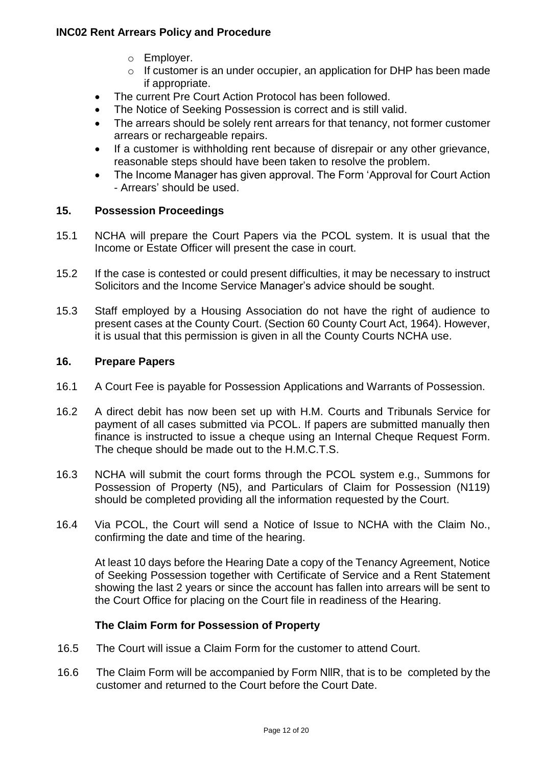- o Employer.
- o If customer is an under occupier, an application for DHP has been made if appropriate.
- The current Pre Court Action Protocol has been followed.
- The Notice of Seeking Possession is correct and is still valid.
- The arrears should be solely rent arrears for that tenancy, not former customer arrears or rechargeable repairs.
- If a customer is withholding rent because of disrepair or any other grievance, reasonable steps should have been taken to resolve the problem.
- The Income Manager has given approval. The Form 'Approval for Court Action - Arrears' should be used.

# **15. Possession Proceedings**

- 15.1 NCHA will prepare the Court Papers via the PCOL system. It is usual that the Income or Estate Officer will present the case in court.
- 15.2 If the case is contested or could present difficulties, it may be necessary to instruct Solicitors and the Income Service Manager's advice should be sought.
- 15.3 Staff employed by a Housing Association do not have the right of audience to present cases at the County Court. (Section 60 County Court Act, 1964). However, it is usual that this permission is given in all the County Courts NCHA use.

#### **16. Prepare Papers**

- 16.1 A Court Fee is payable for Possession Applications and Warrants of Possession.
- 16.2 A direct debit has now been set up with H.M. Courts and Tribunals Service for payment of all cases submitted via PCOL. If papers are submitted manually then finance is instructed to issue a cheque using an Internal Cheque Request Form. The cheque should be made out to the H.M.C.T.S.
- 16.3 NCHA will submit the court forms through the PCOL system e.g., Summons for Possession of Property (N5), and Particulars of Claim for Possession (N119) should be completed providing all the information requested by the Court.
- 16.4 Via PCOL, the Court will send a Notice of Issue to NCHA with the Claim No., confirming the date and time of the hearing.

At least 10 days before the Hearing Date a copy of the Tenancy Agreement, Notice of Seeking Possession together with Certificate of Service and a Rent Statement showing the last 2 years or since the account has fallen into arrears will be sent to the Court Office for placing on the Court file in readiness of the Hearing.

#### **The Claim Form for Possession of Property**

- 16.5 The Court will issue a Claim Form for the customer to attend Court.
- 16.6 The Claim Form will be accompanied by Form NllR, that is to be completed by the customer and returned to the Court before the Court Date.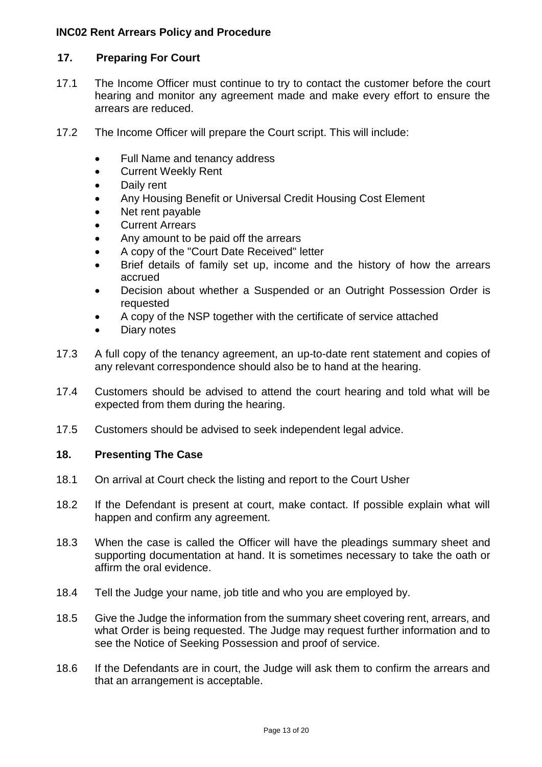# **17. Preparing For Court**

- 17.1 The Income Officer must continue to try to contact the customer before the court hearing and monitor any agreement made and make every effort to ensure the arrears are reduced.
- 17.2 The Income Officer will prepare the Court script. This will include:
	- Full Name and tenancy address
	- Current Weekly Rent
	- Daily rent
	- Any Housing Benefit or Universal Credit Housing Cost Element
	- Net rent payable
	- Current Arrears
	- Any amount to be paid off the arrears
	- A copy of the "Court Date Received" letter
	- Brief details of family set up, income and the history of how the arrears accrued
	- Decision about whether a Suspended or an Outright Possession Order is requested
	- A copy of the NSP together with the certificate of service attached
	- Diary notes
- 17.3 A full copy of the tenancy agreement, an up-to-date rent statement and copies of any relevant correspondence should also be to hand at the hearing.
- 17.4 Customers should be advised to attend the court hearing and told what will be expected from them during the hearing.
- 17.5 Customers should be advised to seek independent legal advice.

# **18. Presenting The Case**

- 18.1 On arrival at Court check the listing and report to the Court Usher
- 18.2 If the Defendant is present at court, make contact. If possible explain what will happen and confirm any agreement.
- 18.3 When the case is called the Officer will have the pleadings summary sheet and supporting documentation at hand. It is sometimes necessary to take the oath or affirm the oral evidence.
- 18.4 Tell the Judge your name, job title and who you are employed by.
- 18.5 Give the Judge the information from the summary sheet covering rent, arrears, and what Order is being requested. The Judge may request further information and to see the Notice of Seeking Possession and proof of service.
- 18.6 If the Defendants are in court, the Judge will ask them to confirm the arrears and that an arrangement is acceptable.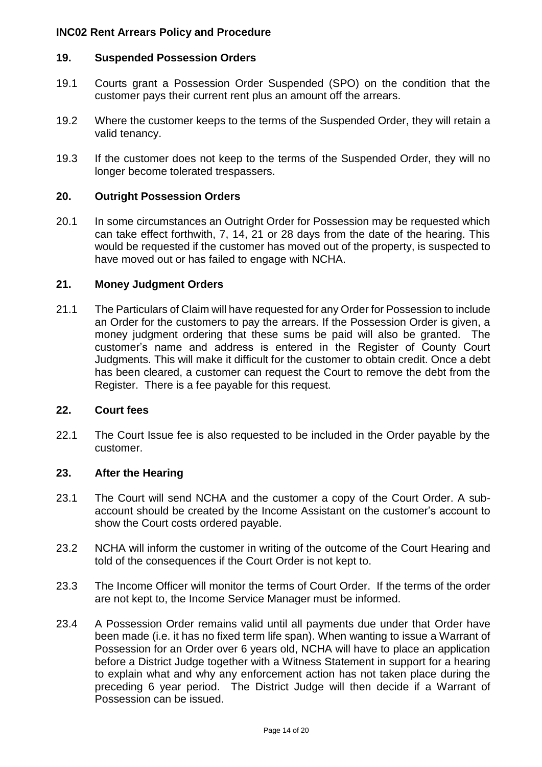#### **19. Suspended Possession Orders**

- 19.1 Courts grant a Possession Order Suspended (SPO) on the condition that the customer pays their current rent plus an amount off the arrears.
- 19.2 Where the customer keeps to the terms of the Suspended Order, they will retain a valid tenancy.
- 19.3 If the customer does not keep to the terms of the Suspended Order, they will no longer become tolerated trespassers.

#### **20. Outright Possession Orders**

20.1 In some circumstances an Outright Order for Possession may be requested which can take effect forthwith, 7, 14, 21 or 28 days from the date of the hearing. This would be requested if the customer has moved out of the property, is suspected to have moved out or has failed to engage with NCHA.

#### **21. Money Judgment Orders**

21.1 The Particulars of Claim will have requested for any Order for Possession to include an Order for the customers to pay the arrears. If the Possession Order is given, a money judgment ordering that these sums be paid will also be granted. The customer's name and address is entered in the Register of County Court Judgments. This will make it difficult for the customer to obtain credit. Once a debt has been cleared, a customer can request the Court to remove the debt from the Register. There is a fee payable for this request.

#### **22. Court fees**

22.1 The Court Issue fee is also requested to be included in the Order payable by the customer.

#### **23. After the Hearing**

- 23.1 The Court will send NCHA and the customer a copy of the Court Order. A subaccount should be created by the Income Assistant on the customer's account to show the Court costs ordered payable.
- 23.2 NCHA will inform the customer in writing of the outcome of the Court Hearing and told of the consequences if the Court Order is not kept to.
- 23.3 The Income Officer will monitor the terms of Court Order. If the terms of the order are not kept to, the Income Service Manager must be informed.
- 23.4 A Possession Order remains valid until all payments due under that Order have been made (i.e. it has no fixed term life span). When wanting to issue a Warrant of Possession for an Order over 6 years old, NCHA will have to place an application before a District Judge together with a Witness Statement in support for a hearing to explain what and why any enforcement action has not taken place during the preceding 6 year period. The District Judge will then decide if a Warrant of Possession can be issued.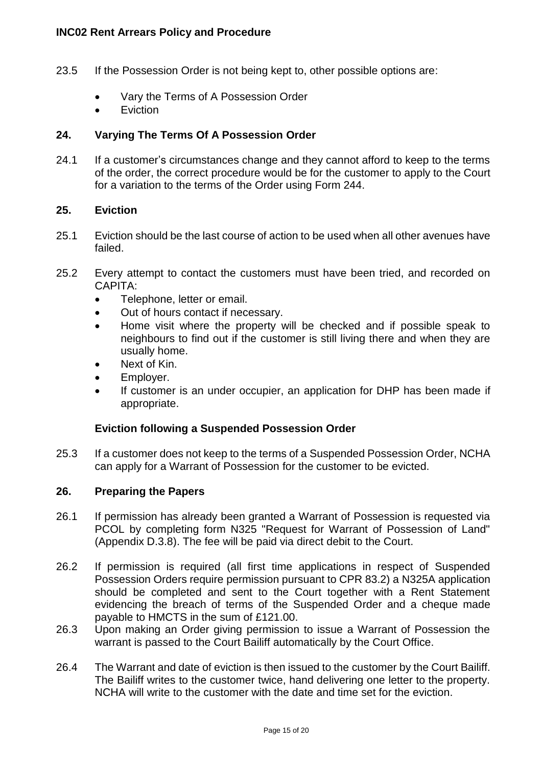- 23.5 If the Possession Order is not being kept to, other possible options are:
	- Vary the Terms of A Possession Order
	- **•** Eviction

# **24. Varying The Terms Of A Possession Order**

24.1 If a customer's circumstances change and they cannot afford to keep to the terms of the order, the correct procedure would be for the customer to apply to the Court for a variation to the terms of the Order using Form 244.

#### **25. Eviction**

- 25.1 Eviction should be the last course of action to be used when all other avenues have failed.
- 25.2 Every attempt to contact the customers must have been tried, and recorded on CAPITA:
	- Telephone, letter or email.
	- Out of hours contact if necessary.
	- Home visit where the property will be checked and if possible speak to neighbours to find out if the customer is still living there and when they are usually home.
	- Next of Kin.
	- Employer.
	- If customer is an under occupier, an application for DHP has been made if appropriate.

#### **Eviction following a Suspended Possession Order**

25.3 If a customer does not keep to the terms of a Suspended Possession Order, NCHA can apply for a Warrant of Possession for the customer to be evicted.

#### **26. Preparing the Papers**

- 26.1 If permission has already been granted a Warrant of Possession is requested via PCOL by completing form N325 "Request for Warrant of Possession of Land" (Appendix D.3.8). The fee will be paid via direct debit to the Court.
- 26.2 If permission is required (all first time applications in respect of Suspended Possession Orders require permission pursuant to CPR 83.2) a N325A application should be completed and sent to the Court together with a Rent Statement evidencing the breach of terms of the Suspended Order and a cheque made payable to HMCTS in the sum of £121.00.
- 26.3 Upon making an Order giving permission to issue a Warrant of Possession the warrant is passed to the Court Bailiff automatically by the Court Office.
- 26.4 The Warrant and date of eviction is then issued to the customer by the Court Bailiff. The Bailiff writes to the customer twice, hand delivering one letter to the property. NCHA will write to the customer with the date and time set for the eviction.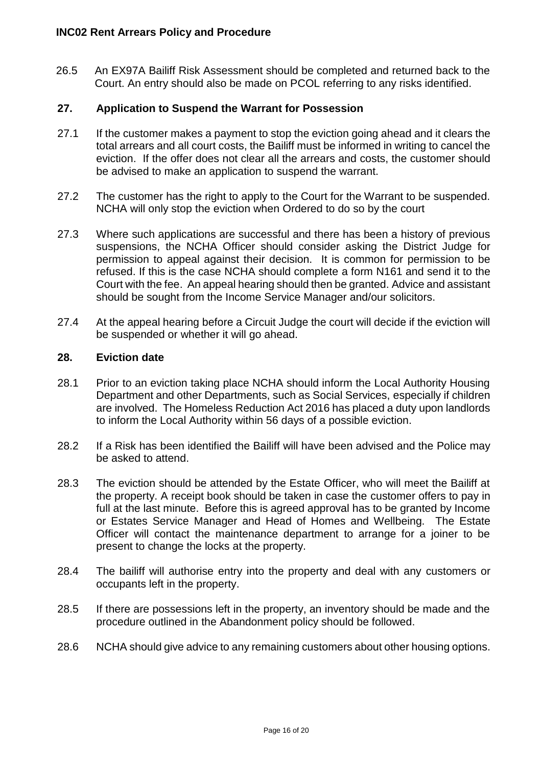26.5 An EX97A Bailiff Risk Assessment should be completed and returned back to the Court. An entry should also be made on PCOL referring to any risks identified.

# **27. Application to Suspend the Warrant for Possession**

- 27.1 If the customer makes a payment to stop the eviction going ahead and it clears the total arrears and all court costs, the Bailiff must be informed in writing to cancel the eviction. If the offer does not clear all the arrears and costs, the customer should be advised to make an application to suspend the warrant.
- 27.2 The customer has the right to apply to the Court for the Warrant to be suspended. NCHA will only stop the eviction when Ordered to do so by the court
- 27.3 Where such applications are successful and there has been a history of previous suspensions, the NCHA Officer should consider asking the District Judge for permission to appeal against their decision. It is common for permission to be refused. If this is the case NCHA should complete a form N161 and send it to the Court with the fee. An appeal hearing should then be granted. Advice and assistant should be sought from the Income Service Manager and/our solicitors.
- 27.4 At the appeal hearing before a Circuit Judge the court will decide if the eviction will be suspended or whether it will go ahead.

#### **28. Eviction date**

- 28.1 Prior to an eviction taking place NCHA should inform the Local Authority Housing Department and other Departments, such as Social Services, especially if children are involved. The Homeless Reduction Act 2016 has placed a duty upon landlords to inform the Local Authority within 56 days of a possible eviction.
- 28.2 If a Risk has been identified the Bailiff will have been advised and the Police may be asked to attend.
- 28.3 The eviction should be attended by the Estate Officer, who will meet the Bailiff at the property. A receipt book should be taken in case the customer offers to pay in full at the last minute. Before this is agreed approval has to be granted by Income or Estates Service Manager and Head of Homes and Wellbeing. The Estate Officer will contact the maintenance department to arrange for a joiner to be present to change the locks at the property.
- 28.4 The bailiff will authorise entry into the property and deal with any customers or occupants left in the property.
- 28.5 If there are possessions left in the property, an inventory should be made and the procedure outlined in the Abandonment policy should be followed.
- 28.6 NCHA should give advice to any remaining customers about other housing options.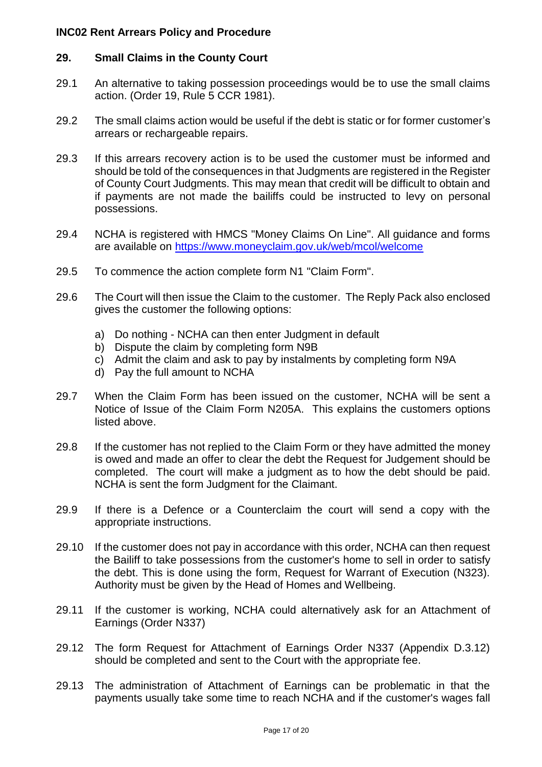# **29. Small Claims in the County Court**

- 29.1 An alternative to taking possession proceedings would be to use the small claims action. (Order 19, Rule 5 CCR 1981).
- 29.2 The small claims action would be useful if the debt is static or for former customer's arrears or rechargeable repairs.
- 29.3 If this arrears recovery action is to be used the customer must be informed and should be told of the consequences in that Judgments are registered in the Register of County Court Judgments. This may mean that credit will be difficult to obtain and if payments are not made the bailiffs could be instructed to levy on personal possessions.
- 29.4 NCHA is registered with HMCS "Money Claims On Line". All guidance and forms are available on<https://www.moneyclaim.gov.uk/web/mcol/welcome>
- 29.5 To commence the action complete form N1 "Claim Form".
- 29.6 The Court will then issue the Claim to the customer. The Reply Pack also enclosed gives the customer the following options:
	- a) Do nothing NCHA can then enter Judgment in default
	- b) Dispute the claim by completing form N9B
	- c) Admit the claim and ask to pay by instalments by completing form N9A
	- d) Pay the full amount to NCHA
- 29.7 When the Claim Form has been issued on the customer, NCHA will be sent a Notice of Issue of the Claim Form N205A. This explains the customers options listed above.
- 29.8 If the customer has not replied to the Claim Form or they have admitted the money is owed and made an offer to clear the debt the Request for Judgement should be completed. The court will make a judgment as to how the debt should be paid. NCHA is sent the form Judgment for the Claimant.
- 29.9 If there is a Defence or a Counterclaim the court will send a copy with the appropriate instructions.
- 29.10 If the customer does not pay in accordance with this order, NCHA can then request the Bailiff to take possessions from the customer's home to sell in order to satisfy the debt. This is done using the form, Request for Warrant of Execution (N323). Authority must be given by the Head of Homes and Wellbeing.
- 29.11 If the customer is working, NCHA could alternatively ask for an Attachment of Earnings (Order N337)
- 29.12 The form Request for Attachment of Earnings Order N337 (Appendix D.3.12) should be completed and sent to the Court with the appropriate fee.
- 29.13 The administration of Attachment of Earnings can be problematic in that the payments usually take some time to reach NCHA and if the customer's wages fall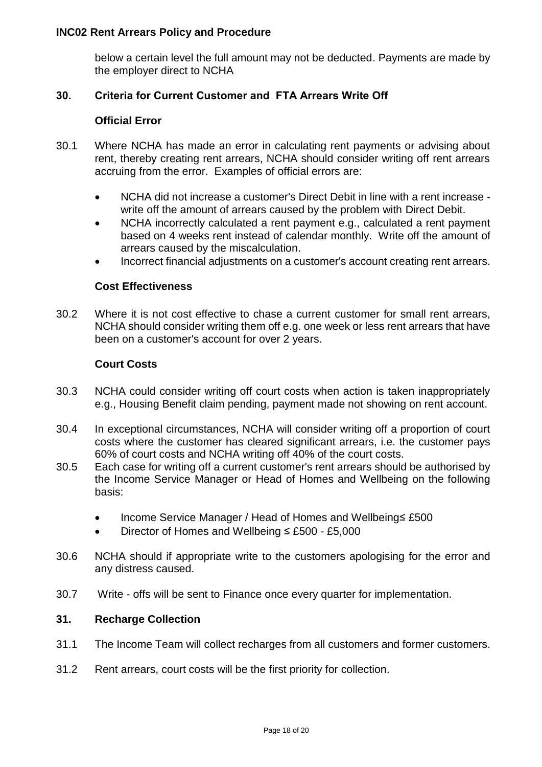below a certain level the full amount may not be deducted. Payments are made by the employer direct to NCHA

#### **30. Criteria for Current Customer and FTA Arrears Write Off**

#### **Official Error**

- 30.1 Where NCHA has made an error in calculating rent payments or advising about rent, thereby creating rent arrears, NCHA should consider writing off rent arrears accruing from the error. Examples of official errors are:
	- NCHA did not increase a customer's Direct Debit in line with a rent increase write off the amount of arrears caused by the problem with Direct Debit.
	- NCHA incorrectly calculated a rent payment e.g., calculated a rent payment based on 4 weeks rent instead of calendar monthly. Write off the amount of arrears caused by the miscalculation.
	- Incorrect financial adjustments on a customer's account creating rent arrears.

#### **Cost Effectiveness**

30.2 Where it is not cost effective to chase a current customer for small rent arrears, NCHA should consider writing them off e.g. one week or less rent arrears that have been on a customer's account for over 2 years.

#### **Court Costs**

- 30.3 NCHA could consider writing off court costs when action is taken inappropriately e.g., Housing Benefit claim pending, payment made not showing on rent account.
- 30.4 In exceptional circumstances, NCHA will consider writing off a proportion of court costs where the customer has cleared significant arrears, i.e. the customer pays 60% of court costs and NCHA writing off 40% of the court costs.
- 30.5 Each case for writing off a current customer's rent arrears should be authorised by the Income Service Manager or Head of Homes and Wellbeing on the following basis:
	- Income Service Manager / Head of Homes and Wellbeing≤ £500
	- Director of Homes and Wellbeing ≤ £500 £5,000
- 30.6 NCHA should if appropriate write to the customers apologising for the error and any distress caused.
- 30.7 Write offs will be sent to Finance once every quarter for implementation.

#### **31. Recharge Collection**

- 31.1 The Income Team will collect recharges from all customers and former customers.
- 31.2 Rent arrears, court costs will be the first priority for collection.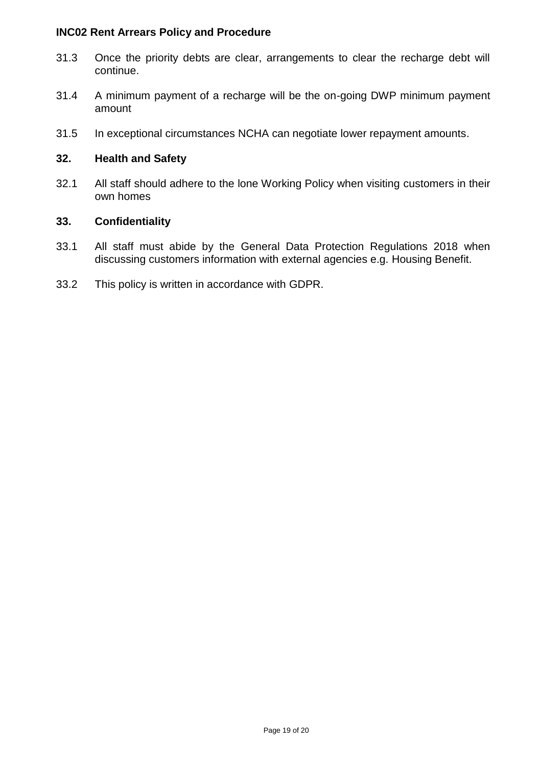- 31.3 Once the priority debts are clear, arrangements to clear the recharge debt will continue.
- 31.4 A minimum payment of a recharge will be the on-going DWP minimum payment amount
- 31.5 In exceptional circumstances NCHA can negotiate lower repayment amounts.

#### **32. Health and Safety**

32.1 All staff should adhere to the lone Working Policy when visiting customers in their own homes

#### **33. Confidentiality**

- 33.1 All staff must abide by the General Data Protection Regulations 2018 when discussing customers information with external agencies e.g. Housing Benefit.
- 33.2 This policy is written in accordance with GDPR.